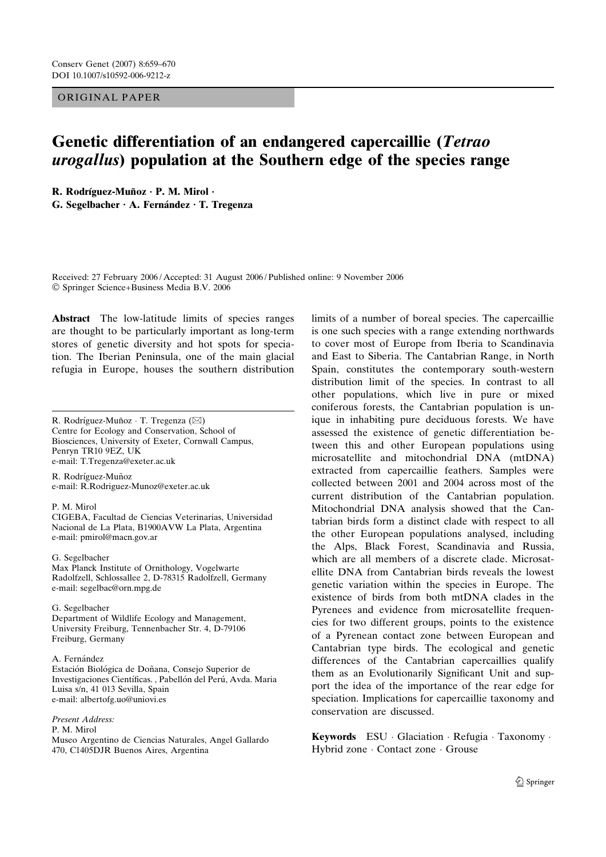ORIGINAL PAPER

# Genetic differentiation of an endangered capercaillie (Tetrao urogallus) population at the Southern edge of the species range

R. Rodríguez-Muñoz · P. M. Mirol ·

G. Segelbacher  $\cdot$  A. Fernández  $\cdot$  T. Tregenza

Received: 27 February 2006 / Accepted: 31 August 2006 / Published online: 9 November 2006 Springer Science+Business Media B.V. 2006

Abstract The low-latitude limits of species ranges are thought to be particularly important as long-term stores of genetic diversity and hot spots for speciation. The Iberian Peninsula, one of the main glacial refugia in Europe, houses the southern distribution

R. Rodríguez-Muñoz  $\cdot$  T. Tregenza ( $\boxtimes$ ) Centre for Ecology and Conservation, School of Biosciences, University of Exeter, Cornwall Campus, Penryn TR10 9EZ, UK e-mail: T.Tregenza@exeter.ac.uk

R. Rodríguez-Muñoz e-mail: R.Rodriguez-Munoz@exeter.ac.uk

### P. M. Mirol

CIGEBA, Facultad de Ciencias Veterinarias, Universidad Nacional de La Plata, B1900AVW La Plata, Argentina e-mail: pmirol@macn.gov.ar

# G. Segelbacher

Max Planck Institute of Ornithology, Vogelwarte Radolfzell, Schlossallee 2, D-78315 Radolfzell, Germany e-mail: segelbac@orn.mpg.de

### G. Segelbacher

Department of Wildlife Ecology and Management, University Freiburg, Tennenbacher Str. 4, D-79106 Freiburg, Germany

### A. Fernández

Estación Biológica de Doñana, Consejo Superior de Investigaciones Científicas. , Pabellón del Perú, Avda. Maria Luisa s/n, 41 013 Sevilla, Spain e-mail: albertofg.uo@uniovi.es

# Present Address:

# P. M. Mirol

Museo Argentino de Ciencias Naturales, Angel Gallardo 470, C1405DJR Buenos Aires, Argentina

limits of a number of boreal species. The capercaillie is one such species with a range extending northwards to cover most of Europe from Iberia to Scandinavia and East to Siberia. The Cantabrian Range, in North Spain, constitutes the contemporary south-western distribution limit of the species. In contrast to all other populations, which live in pure or mixed coniferous forests, the Cantabrian population is unique in inhabiting pure deciduous forests. We have assessed the existence of genetic differentiation between this and other European populations using microsatellite and mitochondrial DNA (mtDNA) extracted from capercaillie feathers. Samples were collected between 2001 and 2004 across most of the current distribution of the Cantabrian population. Mitochondrial DNA analysis showed that the Cantabrian birds form a distinct clade with respect to all the other European populations analysed, including the Alps, Black Forest, Scandinavia and Russia, which are all members of a discrete clade. Microsatellite DNA from Cantabrian birds reveals the lowest genetic variation within the species in Europe. The existence of birds from both mtDNA clades in the Pyrenees and evidence from microsatellite frequencies for two different groups, points to the existence of a Pyrenean contact zone between European and Cantabrian type birds. The ecological and genetic differences of the Cantabrian capercaillies qualify them as an Evolutionarily Significant Unit and support the idea of the importance of the rear edge for speciation. Implications for capercaillie taxonomy and conservation are discussed.

Keywords ESU · Glaciation · Refugia · Taxonomy · Hybrid zone · Contact zone · Grouse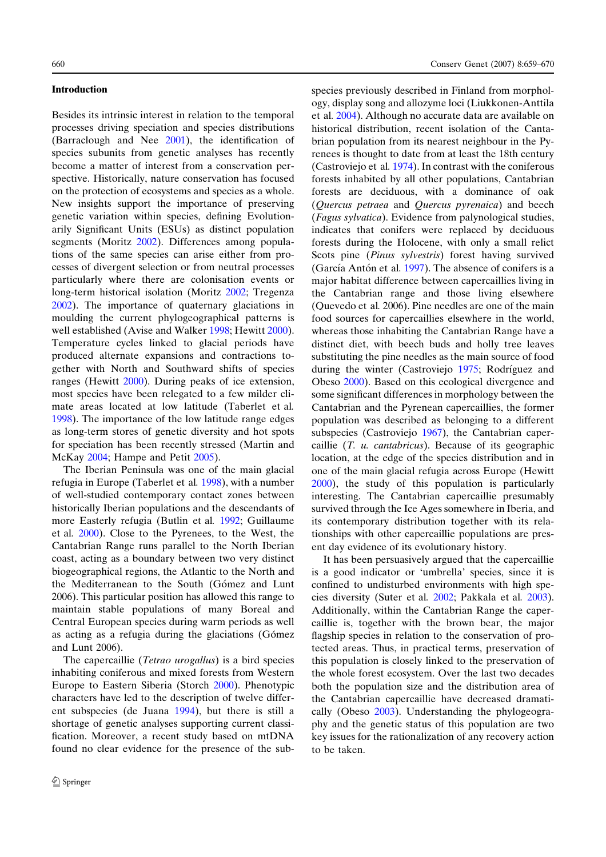### **Introduction**

Besides its intrinsic interest in relation to the temporal processes driving speciation and species distributions (Barraclough and Nee 2001), the identification of species subunits from genetic analyses has recently become a matter of interest from a conservation perspective. Historically, nature conservation has focused on the protection of ecosystems and species as a whole. New insights support the importance of preserving genetic variation within species, defining Evolutionarily Significant Units (ESUs) as distinct population segments (Moritz 2002). Differences among populations of the same species can arise either from processes of divergent selection or from neutral processes particularly where there are colonisation events or long-term historical isolation (Moritz 2002; Tregenza 2002). The importance of quaternary glaciations in moulding the current phylogeographical patterns is well established (Avise and Walker 1998; Hewitt 2000). Temperature cycles linked to glacial periods have produced alternate expansions and contractions together with North and Southward shifts of species ranges (Hewitt 2000). During peaks of ice extension, most species have been relegated to a few milder climate areas located at low latitude (Taberlet et al. 1998). The importance of the low latitude range edges as long-term stores of genetic diversity and hot spots for speciation has been recently stressed (Martin and McKay 2004; Hampe and Petit 2005).

The Iberian Peninsula was one of the main glacial refugia in Europe (Taberlet et al. 1998), with a number of well-studied contemporary contact zones between historically Iberian populations and the descendants of more Easterly refugia (Butlin et al. 1992; Guillaume et al. 2000). Close to the Pyrenees, to the West, the Cantabrian Range runs parallel to the North Iberian coast, acting as a boundary between two very distinct biogeographical regions, the Atlantic to the North and the Mediterranean to the South (Gómez and Lunt 2006). This particular position has allowed this range to maintain stable populations of many Boreal and Central European species during warm periods as well as acting as a refugia during the glaciations (Gómez and Lunt 2006).

The capercaillie *(Tetrao urogallus)* is a bird species inhabiting coniferous and mixed forests from Western Europe to Eastern Siberia (Storch 2000). Phenotypic characters have led to the description of twelve different subspecies (de Juana 1994), but there is still a shortage of genetic analyses supporting current classification. Moreover, a recent study based on mtDNA found no clear evidence for the presence of the subspecies previously described in Finland from morphology, display song and allozyme loci (Liukkonen-Anttila et al. 2004). Although no accurate data are available on historical distribution, recent isolation of the Cantabrian population from its nearest neighbour in the Pyrenees is thought to date from at least the 18th century (Castroviejo et al. 1974). In contrast with the coniferous forests inhabited by all other populations, Cantabrian forests are deciduous, with a dominance of oak (Quercus petraea and Quercus pyrenaica) and beech (Fagus sylvatica). Evidence from palynological studies, indicates that conifers were replaced by deciduous forests during the Holocene, with only a small relict Scots pine (Pinus sylvestris) forest having survived (García Antón et al. 1997). The absence of conifers is a major habitat difference between capercaillies living in the Cantabrian range and those living elsewhere (Quevedo et al. 2006). Pine needles are one of the main food sources for capercaillies elsewhere in the world, whereas those inhabiting the Cantabrian Range have a distinct diet, with beech buds and holly tree leaves substituting the pine needles as the main source of food during the winter (Castroviejo 1975; Rodríguez and Obeso 2000). Based on this ecological divergence and some significant differences in morphology between the Cantabrian and the Pyrenean capercaillies, the former population was described as belonging to a different subspecies (Castroviejo 1967), the Cantabrian capercaillie (T. u. cantabricus). Because of its geographic location, at the edge of the species distribution and in one of the main glacial refugia across Europe (Hewitt 2000), the study of this population is particularly interesting. The Cantabrian capercaillie presumably survived through the Ice Ages somewhere in Iberia, and its contemporary distribution together with its relationships with other capercaillie populations are present day evidence of its evolutionary history.

It has been persuasively argued that the capercaillie is a good indicator or 'umbrella' species, since it is confined to undisturbed environments with high species diversity (Suter et al. 2002; Pakkala et al. 2003). Additionally, within the Cantabrian Range the capercaillie is, together with the brown bear, the major flagship species in relation to the conservation of protected areas. Thus, in practical terms, preservation of this population is closely linked to the preservation of the whole forest ecosystem. Over the last two decades both the population size and the distribution area of the Cantabrian capercaillie have decreased dramatically (Obeso 2003). Understanding the phylogeography and the genetic status of this population are two key issues for the rationalization of any recovery action to be taken.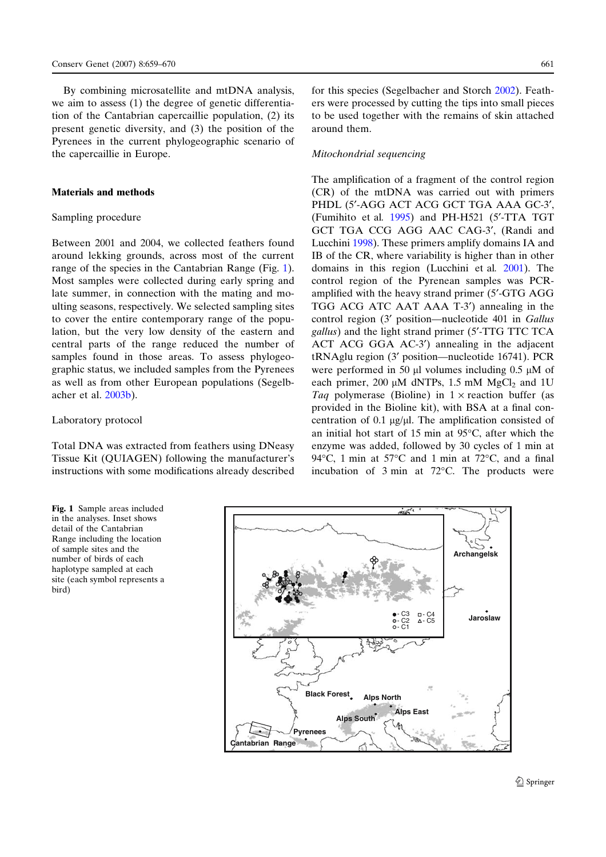By combining microsatellite and mtDNA analysis, we aim to assess (1) the degree of genetic differentiation of the Cantabrian capercaillie population, (2) its present genetic diversity, and (3) the position of the Pyrenees in the current phylogeographic scenario of the capercaillie in Europe.

### Materials and methods

### Sampling procedure

Between 2001 and 2004, we collected feathers found around lekking grounds, across most of the current range of the species in the Cantabrian Range (Fig. 1). Most samples were collected during early spring and late summer, in connection with the mating and moulting seasons, respectively. We selected sampling sites to cover the entire contemporary range of the population, but the very low density of the eastern and central parts of the range reduced the number of samples found in those areas. To assess phylogeographic status, we included samples from the Pyrenees as well as from other European populations (Segelbacher et al. 2003b).

### Laboratory protocol

Total DNA was extracted from feathers using DNeasy Tissue Kit (QUIAGEN) following the manufacturer's instructions with some modifications already described

Fig. 1 Sample areas included in the analyses. Inset shows detail of the Cantabrian Range including the location of sample sites and the number of birds of each haplotype sampled at each site (each symbol represents a bird)

for this species (Segelbacher and Storch 2002). Feathers were processed by cutting the tips into small pieces to be used together with the remains of skin attached around them.

### Mitochondrial sequencing

The amplification of a fragment of the control region (CR) of the mtDNA was carried out with primers PHDL (5'-AGG ACT ACG GCT TGA AAA GC-3', (Fumihito et al. 1995) and PH-H521 (5'-TTA TGT GCT TGA CCG AGG AAC CAG-3', (Randi and Lucchini 1998). These primers amplify domains IA and IB of the CR, where variability is higher than in other domains in this region (Lucchini et al. 2001). The control region of the Pyrenean samples was PCRamplified with the heavy strand primer (5¢-GTG AGG TGG ACG ATC AAT AAA T-3') annealing in the control region (3¢ position—nucleotide 401 in Gallus gallus) and the light strand primer (5¢-TTG TTC TCA ACT ACG GGA AC-3<sup>'</sup>) annealing in the adjacent tRNAglu region (3¢ position—nucleotide 16741). PCR were performed in 50  $\mu$ l volumes including 0.5  $\mu$ M of each primer, 200  $\mu$ M dNTPs, 1.5 mM MgCl<sub>2</sub> and 1U Taq polymerase (Bioline) in  $1 \times$  reaction buffer (as provided in the Bioline kit), with BSA at a final concentration of 0.1  $\mu$ g/ $\mu$ l. The amplification consisted of an initial hot start of 15 min at  $95^{\circ}$ C, after which the enzyme was added, followed by 30 cycles of 1 min at  $94^{\circ}$ C, 1 min at 57 $^{\circ}$ C and 1 min at 72 $^{\circ}$ C, and a final incubation of  $3 \text{ min}$  at  $72^{\circ}$ C. The products were

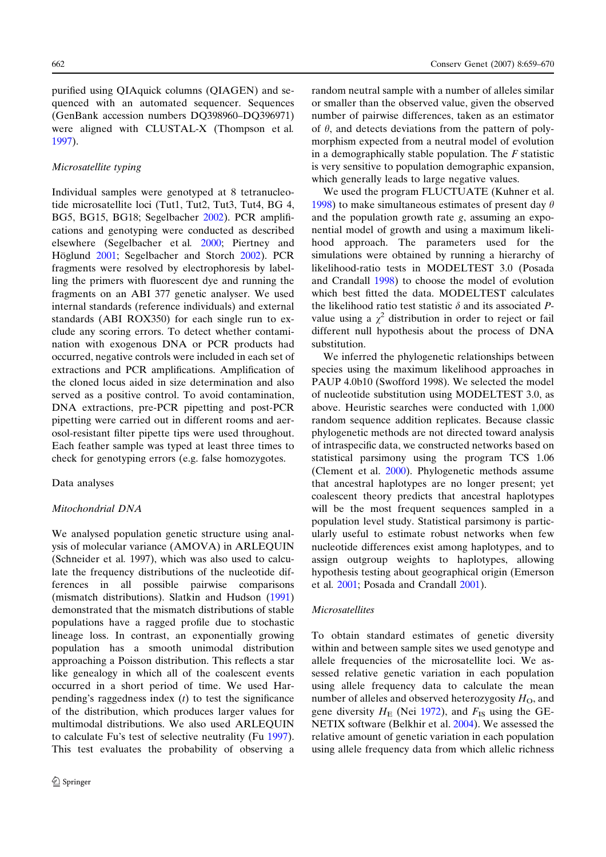purified using QIAquick columns (QIAGEN) and sequenced with an automated sequencer. Sequences (GenBank accession numbers DQ398960–DQ396971) were aligned with CLUSTAL-X (Thompson et al. 1997).

### Microsatellite typing

Individual samples were genotyped at 8 tetranucleotide microsatellite loci (Tut1, Tut2, Tut3, Tut4, BG 4, BG5, BG15, BG18; Segelbacher 2002). PCR amplifications and genotyping were conducted as described elsewhere (Segelbacher et al. 2000; Piertney and Höglund 2001; Segelbacher and Storch 2002). PCR fragments were resolved by electrophoresis by labelling the primers with fluorescent dye and running the fragments on an ABI 377 genetic analyser. We used internal standards (reference individuals) and external standards (ABI ROX350) for each single run to exclude any scoring errors. To detect whether contamination with exogenous DNA or PCR products had occurred, negative controls were included in each set of extractions and PCR amplifications. Amplification of the cloned locus aided in size determination and also served as a positive control. To avoid contamination, DNA extractions, pre-PCR pipetting and post-PCR pipetting were carried out in different rooms and aerosol-resistant filter pipette tips were used throughout. Each feather sample was typed at least three times to check for genotyping errors (e.g. false homozygotes.

# Data analyses

# Mitochondrial DNA

We analysed population genetic structure using analysis of molecular variance (AMOVA) in ARLEQUIN (Schneider et al. 1997), which was also used to calculate the frequency distributions of the nucleotide differences in all possible pairwise comparisons (mismatch distributions). Slatkin and Hudson (1991) demonstrated that the mismatch distributions of stable populations have a ragged profile due to stochastic lineage loss. In contrast, an exponentially growing population has a smooth unimodal distribution approaching a Poisson distribution. This reflects a star like genealogy in which all of the coalescent events occurred in a short period of time. We used Harpending's raggedness index  $(t)$  to test the significance of the distribution, which produces larger values for multimodal distributions. We also used ARLEQUIN to calculate Fu's test of selective neutrality (Fu 1997). This test evaluates the probability of observing a random neutral sample with a number of alleles similar or smaller than the observed value, given the observed number of pairwise differences, taken as an estimator of  $\theta$ , and detects deviations from the pattern of polymorphism expected from a neutral model of evolution in a demographically stable population. The  $F$  statistic is very sensitive to population demographic expansion, which generally leads to large negative values.

We used the program FLUCTUATE (Kuhner et al. 1998) to make simultaneous estimates of present day  $\theta$ and the population growth rate g, assuming an exponential model of growth and using a maximum likelihood approach. The parameters used for the simulations were obtained by running a hierarchy of likelihood-ratio tests in MODELTEST 3.0 (Posada and Crandall 1998) to choose the model of evolution which best fitted the data. MODELTEST calculates the likelihood ratio test statistic  $\delta$  and its associated Pvalue using a  $\chi^2$  distribution in order to reject or fail different null hypothesis about the process of DNA substitution.

We inferred the phylogenetic relationships between species using the maximum likelihood approaches in PAUP 4.0b10 (Swofford 1998). We selected the model of nucleotide substitution using MODELTEST 3.0, as above. Heuristic searches were conducted with 1,000 random sequence addition replicates. Because classic phylogenetic methods are not directed toward analysis of intraspecific data, we constructed networks based on statistical parsimony using the program TCS 1.06 (Clement et al. 2000). Phylogenetic methods assume that ancestral haplotypes are no longer present; yet coalescent theory predicts that ancestral haplotypes will be the most frequent sequences sampled in a population level study. Statistical parsimony is particularly useful to estimate robust networks when few nucleotide differences exist among haplotypes, and to assign outgroup weights to haplotypes, allowing hypothesis testing about geographical origin (Emerson et al. 2001; Posada and Crandall 2001).

## Microsatellites

To obtain standard estimates of genetic diversity within and between sample sites we used genotype and allele frequencies of the microsatellite loci. We assessed relative genetic variation in each population using allele frequency data to calculate the mean number of alleles and observed heterozygosity  $H<sub>O</sub>$ , and gene diversity  $H_E$  (Nei 1972), and  $F_{IS}$  using the GE-NETIX software (Belkhir et al. 2004). We assessed the relative amount of genetic variation in each population using allele frequency data from which allelic richness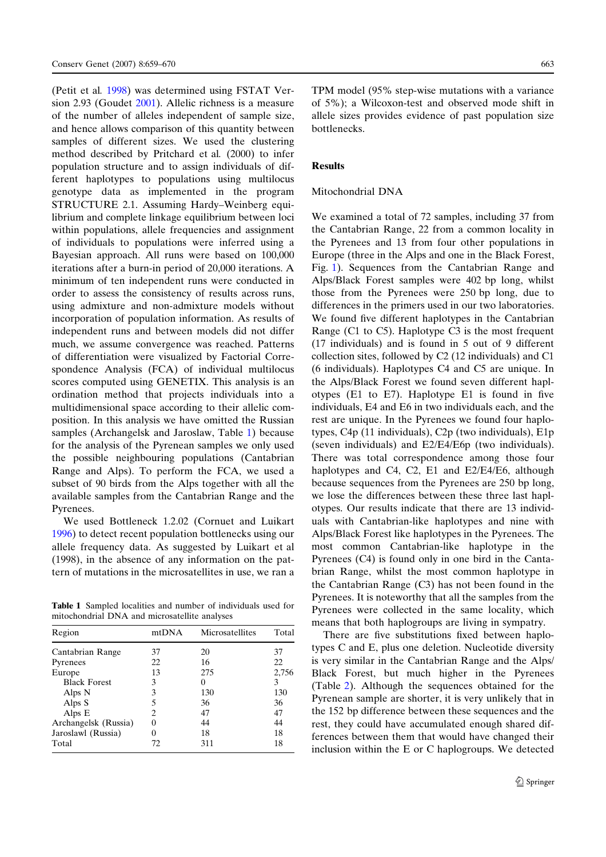(Petit et al. 1998) was determined using FSTAT Version 2.93 (Goudet 2001). Allelic richness is a measure of the number of alleles independent of sample size, and hence allows comparison of this quantity between samples of different sizes. We used the clustering method described by Pritchard et al. (2000) to infer population structure and to assign individuals of different haplotypes to populations using multilocus genotype data as implemented in the program STRUCTURE 2.1. Assuming Hardy–Weinberg equilibrium and complete linkage equilibrium between loci within populations, allele frequencies and assignment of individuals to populations were inferred using a Bayesian approach. All runs were based on 100,000 iterations after a burn-in period of 20,000 iterations. A minimum of ten independent runs were conducted in order to assess the consistency of results across runs, using admixture and non-admixture models without incorporation of population information. As results of independent runs and between models did not differ much, we assume convergence was reached. Patterns of differentiation were visualized by Factorial Correspondence Analysis (FCA) of individual multilocus scores computed using GENETIX. This analysis is an ordination method that projects individuals into a multidimensional space according to their allelic composition. In this analysis we have omitted the Russian samples (Archangelsk and Jaroslaw, Table 1) because for the analysis of the Pyrenean samples we only used the possible neighbouring populations (Cantabrian Range and Alps). To perform the FCA, we used a subset of 90 birds from the Alps together with all the available samples from the Cantabrian Range and the Pyrenees.

We used Bottleneck 1.2.02 (Cornuet and Luikart 1996) to detect recent population bottlenecks using our allele frequency data. As suggested by Luikart et al (1998), in the absence of any information on the pattern of mutations in the microsatellites in use, we ran a

Table 1 Sampled localities and number of individuals used for mitochondrial DNA and microsatellite analyses

| Region               | mtDNA        | Microsatellites | Total |
|----------------------|--------------|-----------------|-------|
| Cantabrian Range     | 37           | 20              | 37    |
| Pyrenees             | 22           | 16              | 22    |
| Europe               | 13           | 275             | 2,756 |
| <b>Black Forest</b>  | 3            | $\theta$        | 3     |
| Alps N               | 3            | 130             | 130   |
| Alps S               |              | 36              | 36    |
| Alps E               | 2            | 47              | 47    |
| Archangelsk (Russia) | $\mathbf{0}$ | 44              | 44    |
| Jaroslawl (Russia)   |              | 18              | 18    |
| Total                | 72.          | 311             | 18    |

TPM model (95% step-wise mutations with a variance of 5%); a Wilcoxon-test and observed mode shift in allele sizes provides evidence of past population size bottlenecks.

# Results

### Mitochondrial DNA

We examined a total of 72 samples, including 37 from the Cantabrian Range, 22 from a common locality in the Pyrenees and 13 from four other populations in Europe (three in the Alps and one in the Black Forest, Fig. 1). Sequences from the Cantabrian Range and Alps/Black Forest samples were 402 bp long, whilst those from the Pyrenees were 250 bp long, due to differences in the primers used in our two laboratories. We found five different haplotypes in the Cantabrian Range (C1 to C5). Haplotype C3 is the most frequent (17 individuals) and is found in 5 out of 9 different collection sites, followed by C2 (12 individuals) and C1 (6 individuals). Haplotypes C4 and C5 are unique. In the Alps/Black Forest we found seven different haplotypes (E1 to E7). Haplotype E1 is found in five individuals, E4 and E6 in two individuals each, and the rest are unique. In the Pyrenees we found four haplotypes, C4p (11 individuals), C2p (two individuals), E1p (seven individuals) and E2/E4/E6p (two individuals). There was total correspondence among those four haplotypes and C4, C2, E1 and E2/E4/E6, although because sequences from the Pyrenees are 250 bp long, we lose the differences between these three last haplotypes. Our results indicate that there are 13 individuals with Cantabrian-like haplotypes and nine with Alps/Black Forest like haplotypes in the Pyrenees. The most common Cantabrian-like haplotype in the Pyrenees (C4) is found only in one bird in the Cantabrian Range, whilst the most common haplotype in the Cantabrian Range (C3) has not been found in the Pyrenees. It is noteworthy that all the samples from the Pyrenees were collected in the same locality, which means that both haplogroups are living in sympatry.

There are five substitutions fixed between haplotypes C and E, plus one deletion. Nucleotide diversity is very similar in the Cantabrian Range and the Alps/ Black Forest, but much higher in the Pyrenees (Table 2). Although the sequences obtained for the Pyrenean sample are shorter, it is very unlikely that in the 152 bp difference between these sequences and the rest, they could have accumulated enough shared differences between them that would have changed their inclusion within the E or C haplogroups. We detected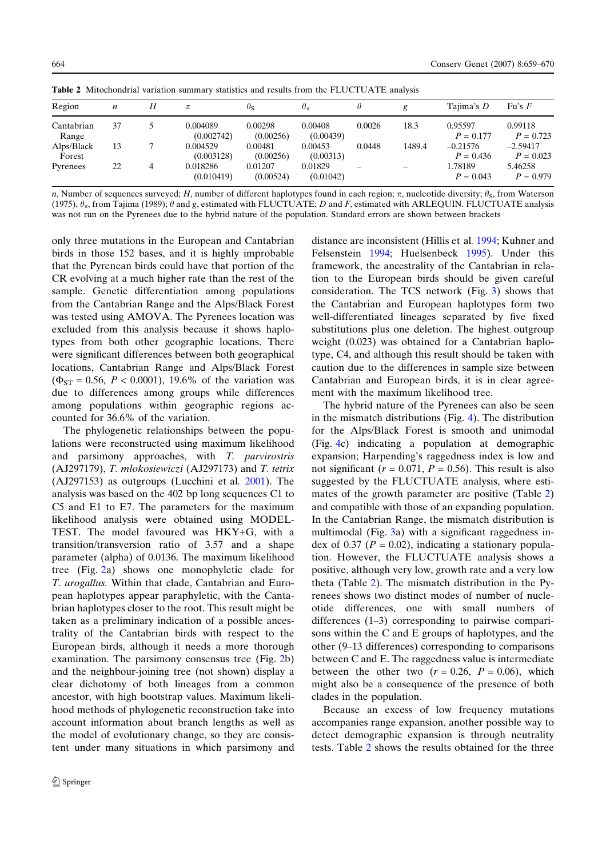| Region               | n  | H | π                      | $\theta_{\rm S}$     | $\theta_{\pi}$       |        |        | Tajima's $D$              | Fu's $F$                  |
|----------------------|----|---|------------------------|----------------------|----------------------|--------|--------|---------------------------|---------------------------|
| Cantabrian<br>Range  | 37 |   | 0.004089<br>(0.002742) | 0.00298<br>(0.00256) | 0.00408<br>(0.00439) | 0.0026 | 18.3   | 0.95597<br>$P = 0.177$    | 0.99118<br>$P = 0.723$    |
| Alps/Black<br>Forest | 13 |   | 0.004529<br>(0.003128) | 0.00481<br>(0.00256) | 0.00453<br>(0.00313) | 0.0448 | 1489.4 | $-0.21576$<br>$P = 0.436$ | $-2.59417$<br>$P = 0.023$ |
| Pyrenees             | 22 | 4 | 0.018286<br>(0.010419) | 0.01207<br>(0.00524) | 0.01829<br>(0.01042) |        | -      | 1.78189<br>$P = 0.043$    | 5.46258<br>$P = 0.979$    |

Table 2 Mitochondrial variation summary statistics and results from the FLUCTUATE analysis

n, Number of sequences surveyed; H, number of different haplotypes found in each region;  $\pi$ , nucleotide diversity;  $\theta_{\rm S}$ , from Waterson (1975),  $\theta_{\pi}$ , from Tajima (1989);  $\theta$  and g, estimated with FLUCTUATE; D and F, estimated with ARLEQUIN. FLUCTUATE analysis was not run on the Pyrenees due to the hybrid nature of the population. Standard errors are shown between brackets

only three mutations in the European and Cantabrian birds in those 152 bases, and it is highly improbable that the Pyrenean birds could have that portion of the CR evolving at a much higher rate than the rest of the sample. Genetic differentiation among populations from the Cantabrian Range and the Alps/Black Forest was tested using AMOVA. The Pyrenees location was excluded from this analysis because it shows haplotypes from both other geographic locations. There were significant differences between both geographical locations, Cantabrian Range and Alps/Black Forest  $(\Phi_{ST} = 0.56, P < 0.0001), 19.6\%$  of the variation was due to differences among groups while differences among populations within geographic regions accounted for 36.6% of the variation.

The phylogenetic relationships between the populations were reconstructed using maximum likelihood and parsimony approaches, with T. parvirostris (AJ297179), T. mlokosiewiczi (AJ297173) and T. tetrix (AJ297153) as outgroups (Lucchini et al. 2001). The analysis was based on the 402 bp long sequences C1 to C5 and E1 to E7. The parameters for the maximum likelihood analysis were obtained using MODEL-TEST. The model favoured was HKY+G, with a transition/transversion ratio of 3.57 and a shape parameter (alpha) of 0.0136. The maximum likelihood tree (Fig. 2a) shows one monophyletic clade for T. urogallus. Within that clade, Cantabrian and European haplotypes appear paraphyletic, with the Cantabrian haplotypes closer to the root. This result might be taken as a preliminary indication of a possible ancestrality of the Cantabrian birds with respect to the European birds, although it needs a more thorough examination. The parsimony consensus tree (Fig. 2b) and the neighbour-joining tree (not shown) display a clear dichotomy of both lineages from a common ancestor, with high bootstrap values. Maximum likelihood methods of phylogenetic reconstruction take into account information about branch lengths as well as the model of evolutionary change, so they are consistent under many situations in which parsimony and distance are inconsistent (Hillis et al. 1994; Kuhner and Felsenstein 1994; Huelsenbeck 1995). Under this framework, the ancestrality of the Cantabrian in relation to the European birds should be given careful consideration. The TCS network (Fig. 3) shows that the Cantabrian and European haplotypes form two well-differentiated lineages separated by five fixed substitutions plus one deletion. The highest outgroup weight (0.023) was obtained for a Cantabrian haplotype, C4, and although this result should be taken with caution due to the differences in sample size between Cantabrian and European birds, it is in clear agreement with the maximum likelihood tree.

The hybrid nature of the Pyrenees can also be seen in the mismatch distributions (Fig. 4). The distribution for the Alps/Black Forest is smooth and unimodal (Fig. 4c) indicating a population at demographic expansion; Harpending's raggedness index is low and not significant ( $r = 0.071$ ,  $P = 0.56$ ). This result is also suggested by the FLUCTUATE analysis, where estimates of the growth parameter are positive (Table 2) and compatible with those of an expanding population. In the Cantabrian Range, the mismatch distribution is multimodal (Fig. 3a) with a significant raggedness index of 0.37 ( $P = 0.02$ ), indicating a stationary population. However, the FLUCTUATE analysis shows a positive, although very low, growth rate and a very low theta (Table 2). The mismatch distribution in the Pyrenees shows two distinct modes of number of nucleotide differences, one with small numbers of differences (1–3) corresponding to pairwise comparisons within the C and E groups of haplotypes, and the other (9–13 differences) corresponding to comparisons between C and E. The raggedness value is intermediate between the other two  $(r = 0.26, P = 0.06)$ , which might also be a consequence of the presence of both clades in the population.

Because an excess of low frequency mutations accompanies range expansion, another possible way to detect demographic expansion is through neutrality tests. Table 2 shows the results obtained for the three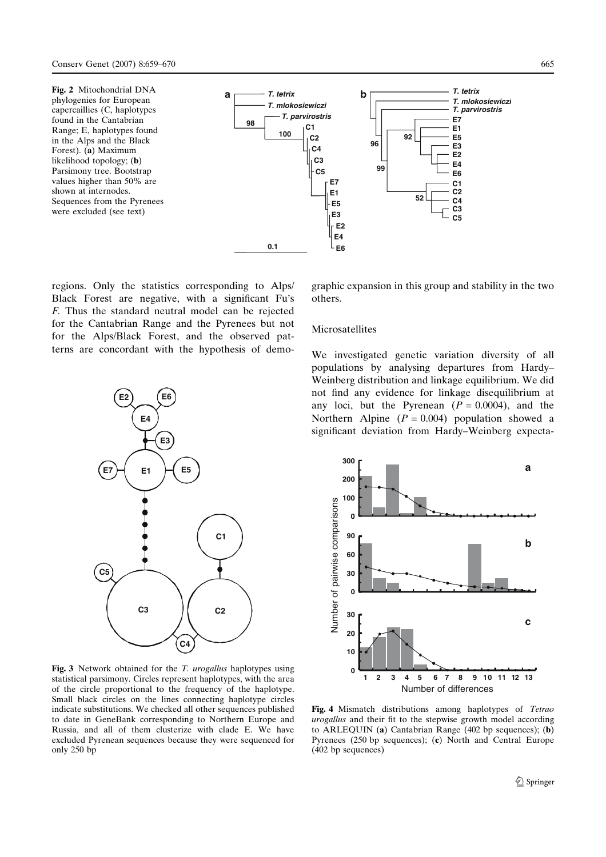



regions. Only the statistics corresponding to Alps/ Black Forest are negative, with a significant Fu's F. Thus the standard neutral model can be rejected for the Cantabrian Range and the Pyrenees but not for the Alps/Black Forest, and the observed patterns are concordant with the hypothesis of demo-



Fig. 3 Network obtained for the T. urogallus haplotypes using statistical parsimony. Circles represent haplotypes, with the area of the circle proportional to the frequency of the haplotype. Small black circles on the lines connecting haplotype circles indicate substitutions. We checked all other sequences published to date in GeneBank corresponding to Northern Europe and Russia, and all of them clusterize with clade E. We have excluded Pyrenean sequences because they were sequenced for only 250 bp

graphic expansion in this group and stability in the two others.

## Microsatellites

We investigated genetic variation diversity of all populations by analysing departures from Hardy– Weinberg distribution and linkage equilibrium. We did not find any evidence for linkage disequilibrium at any loci, but the Pyrenean  $(P = 0.0004)$ , and the Northern Alpine  $(P = 0.004)$  population showed a significant deviation from Hardy–Weinberg expecta-



Fig. 4 Mismatch distributions among haplotypes of Tetrao urogallus and their fit to the stepwise growth model according to ARLEQUIN (a) Cantabrian Range (402 bp sequences); (b) Pyrenees (250 bp sequences); (c) North and Central Europe (402 bp sequences)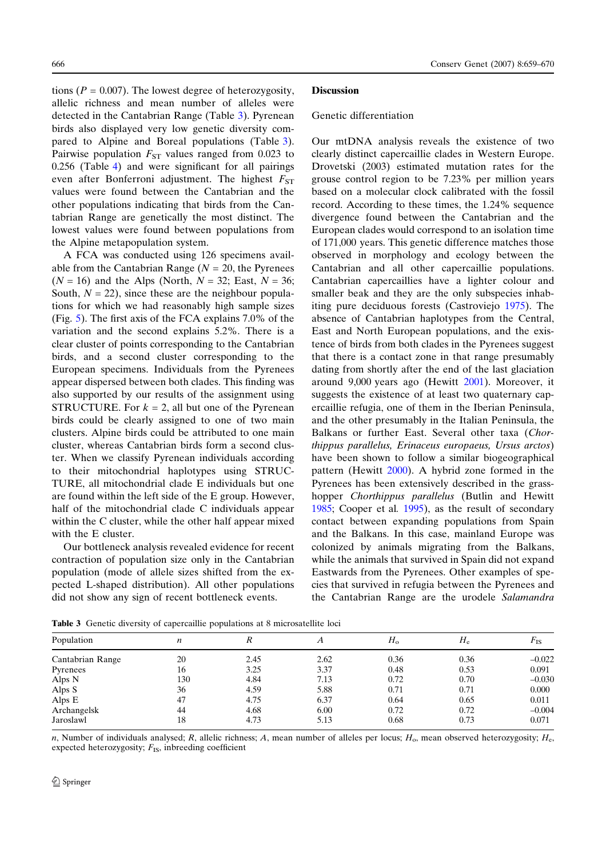tions ( $P = 0.007$ ). The lowest degree of heterozygosity, allelic richness and mean number of alleles were detected in the Cantabrian Range (Table 3). Pyrenean birds also displayed very low genetic diversity compared to Alpine and Boreal populations (Table 3). Pairwise population  $F_{ST}$  values ranged from 0.023 to 0.256 (Table 4) and were significant for all pairings even after Bonferroni adjustment. The highest  $F_{ST}$ values were found between the Cantabrian and the other populations indicating that birds from the Cantabrian Range are genetically the most distinct. The lowest values were found between populations from the Alpine metapopulation system.

A FCA was conducted using 126 specimens available from the Cantabrian Range  $(N = 20)$ , the Pyrenees  $(N = 16)$  and the Alps (North,  $N = 32$ ; East,  $N = 36$ ; South,  $N = 22$ ), since these are the neighbour populations for which we had reasonably high sample sizes (Fig. 5). The first axis of the FCA explains 7.0% of the variation and the second explains 5.2%. There is a clear cluster of points corresponding to the Cantabrian birds, and a second cluster corresponding to the European specimens. Individuals from the Pyrenees appear dispersed between both clades. This finding was also supported by our results of the assignment using STRUCTURE. For  $k = 2$ , all but one of the Pyrenean birds could be clearly assigned to one of two main clusters. Alpine birds could be attributed to one main cluster, whereas Cantabrian birds form a second cluster. When we classify Pyrenean individuals according to their mitochondrial haplotypes using STRUC-TURE, all mitochondrial clade E individuals but one are found within the left side of the E group. However, half of the mitochondrial clade C individuals appear within the C cluster, while the other half appear mixed with the E cluster.

Our bottleneck analysis revealed evidence for recent contraction of population size only in the Cantabrian population (mode of allele sizes shifted from the expected L-shaped distribution). All other populations did not show any sign of recent bottleneck events.

### **Discussion**

# Genetic differentiation

Our mtDNA analysis reveals the existence of two clearly distinct capercaillie clades in Western Europe. Drovetski (2003) estimated mutation rates for the grouse control region to be 7.23% per million years based on a molecular clock calibrated with the fossil record. According to these times, the 1.24% sequence divergence found between the Cantabrian and the European clades would correspond to an isolation time of 171,000 years. This genetic difference matches those observed in morphology and ecology between the Cantabrian and all other capercaillie populations. Cantabrian capercaillies have a lighter colour and smaller beak and they are the only subspecies inhabiting pure deciduous forests (Castroviejo 1975). The absence of Cantabrian haplotypes from the Central, East and North European populations, and the existence of birds from both clades in the Pyrenees suggest that there is a contact zone in that range presumably dating from shortly after the end of the last glaciation around 9,000 years ago (Hewitt 2001). Moreover, it suggests the existence of at least two quaternary capercaillie refugia, one of them in the Iberian Peninsula, and the other presumably in the Italian Peninsula, the Balkans or further East. Several other taxa (Chorthippus parallelus, Erinaceus europaeus, Ursus arctos) have been shown to follow a similar biogeographical pattern (Hewitt 2000). A hybrid zone formed in the Pyrenees has been extensively described in the grasshopper Chorthippus parallelus (Butlin and Hewitt 1985; Cooper et al. 1995), as the result of secondary contact between expanding populations from Spain and the Balkans. In this case, mainland Europe was colonized by animals migrating from the Balkans, while the animals that survived in Spain did not expand Eastwards from the Pyrenees. Other examples of species that survived in refugia between the Pyrenees and the Cantabrian Range are the urodele Salamandra

| Population       | n   | R    | A    | $H_{\alpha}$ | $H_{\rm e}$ | $F_{\rm IS}$ |
|------------------|-----|------|------|--------------|-------------|--------------|
| Cantabrian Range | 20  | 2.45 | 2.62 | 0.36         | 0.36        | $-0.022$     |
| Pyrenees         | 16  | 3.25 | 3.37 | 0.48         | 0.53        | 0.091        |
| Alps N           | 130 | 4.84 | 7.13 | 0.72         | 0.70        | $-0.030$     |
| Alps S           | 36  | 4.59 | 5.88 | 0.71         | 0.71        | 0.000        |
| Alps E           | 47  | 4.75 | 6.37 | 0.64         | 0.65        | 0.011        |
| Archangelsk      | 44  | 4.68 | 6.00 | 0.72         | 0.72        | $-0.004$     |
| Jaroslawl        | 18  | 4.73 | 5.13 | 0.68         | 0.73        | 0.071        |

Table 3 Genetic diversity of capercaillie populations at 8 microsatellite loci

n, Number of individuals analysed; R, allelic richness; A, mean number of alleles per locus;  $H_0$ , mean observed heterozygosity;  $H_e$ , expected heterozygosity;  $F_{IS}$ , inbreeding coefficient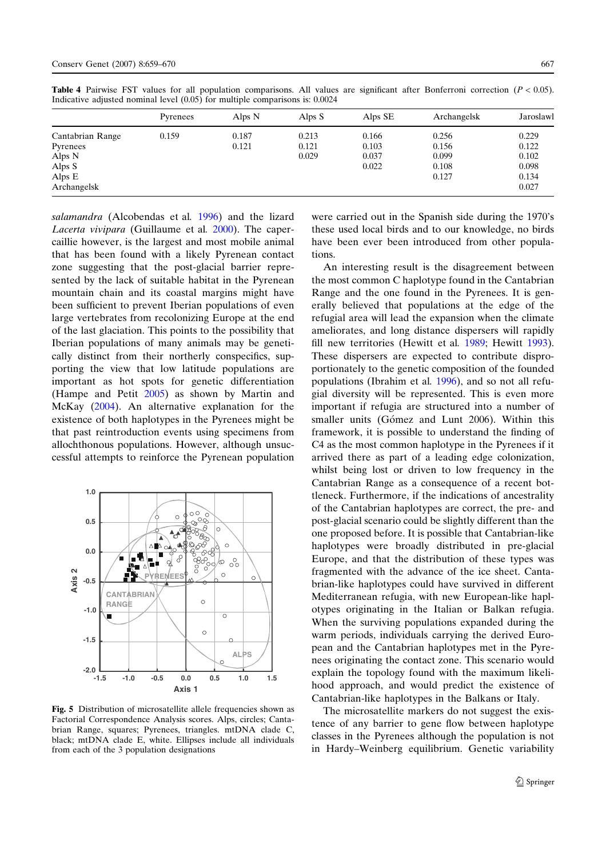|                  | Pyrenees | Alps N | Alps S | Alps SE | Archangelsk | Jaroslawl |
|------------------|----------|--------|--------|---------|-------------|-----------|
| Cantabrian Range | 0.159    | 0.187  | 0.213  | 0.166   | 0.256       | 0.229     |
| Pyrenees         |          | 0.121  | 0.121  | 0.103   | 0.156       | 0.122     |
| Alps N           |          |        | 0.029  | 0.037   | 0.099       | 0.102     |
| Alps S           |          |        |        | 0.022   | 0.108       | 0.098     |
| Alps E           |          |        |        |         | 0.127       | 0.134     |
| Archangelsk      |          |        |        |         |             | 0.027     |

**Table 4** Pairwise FST values for all population comparisons. All values are significant after Bonferroni correction  $(P < 0.05)$ . Indicative adjusted nominal level (0.05) for multiple comparisons is: 0.0024

salamandra (Alcobendas et al. 1996) and the lizard Lacerta vivipara (Guillaume et al. 2000). The capercaillie however, is the largest and most mobile animal that has been found with a likely Pyrenean contact zone suggesting that the post-glacial barrier represented by the lack of suitable habitat in the Pyrenean mountain chain and its coastal margins might have been sufficient to prevent Iberian populations of even large vertebrates from recolonizing Europe at the end of the last glaciation. This points to the possibility that Iberian populations of many animals may be genetically distinct from their northerly conspecifics, supporting the view that low latitude populations are important as hot spots for genetic differentiation (Hampe and Petit 2005) as shown by Martin and McKay (2004). An alternative explanation for the existence of both haplotypes in the Pyrenees might be that past reintroduction events using specimens from allochthonous populations. However, although unsuccessful attempts to reinforce the Pyrenean population



Fig. 5 Distribution of microsatellite allele frequencies shown as Factorial Correspondence Analysis scores. Alps, circles; Cantabrian Range, squares; Pyrenees, triangles. mtDNA clade C, black; mtDNA clade E, white. Ellipses include all individuals from each of the 3 population designations

were carried out in the Spanish side during the 1970's these used local birds and to our knowledge, no birds have been ever been introduced from other populations.

An interesting result is the disagreement between the most common C haplotype found in the Cantabrian Range and the one found in the Pyrenees. It is generally believed that populations at the edge of the refugial area will lead the expansion when the climate ameliorates, and long distance dispersers will rapidly fill new territories (Hewitt et al. 1989; Hewitt 1993). These dispersers are expected to contribute disproportionately to the genetic composition of the founded populations (Ibrahim et al. 1996), and so not all refugial diversity will be represented. This is even more important if refugia are structured into a number of smaller units (Gómez and Lunt 2006). Within this framework, it is possible to understand the finding of C4 as the most common haplotype in the Pyrenees if it arrived there as part of a leading edge colonization, whilst being lost or driven to low frequency in the Cantabrian Range as a consequence of a recent bottleneck. Furthermore, if the indications of ancestrality of the Cantabrian haplotypes are correct, the pre- and post-glacial scenario could be slightly different than the one proposed before. It is possible that Cantabrian-like haplotypes were broadly distributed in pre-glacial Europe, and that the distribution of these types was fragmented with the advance of the ice sheet. Cantabrian-like haplotypes could have survived in different Mediterranean refugia, with new European-like haplotypes originating in the Italian or Balkan refugia. When the surviving populations expanded during the warm periods, individuals carrying the derived European and the Cantabrian haplotypes met in the Pyrenees originating the contact zone. This scenario would explain the topology found with the maximum likelihood approach, and would predict the existence of Cantabrian-like haplotypes in the Balkans or Italy.

The microsatellite markers do not suggest the existence of any barrier to gene flow between haplotype classes in the Pyrenees although the population is not in Hardy–Weinberg equilibrium. Genetic variability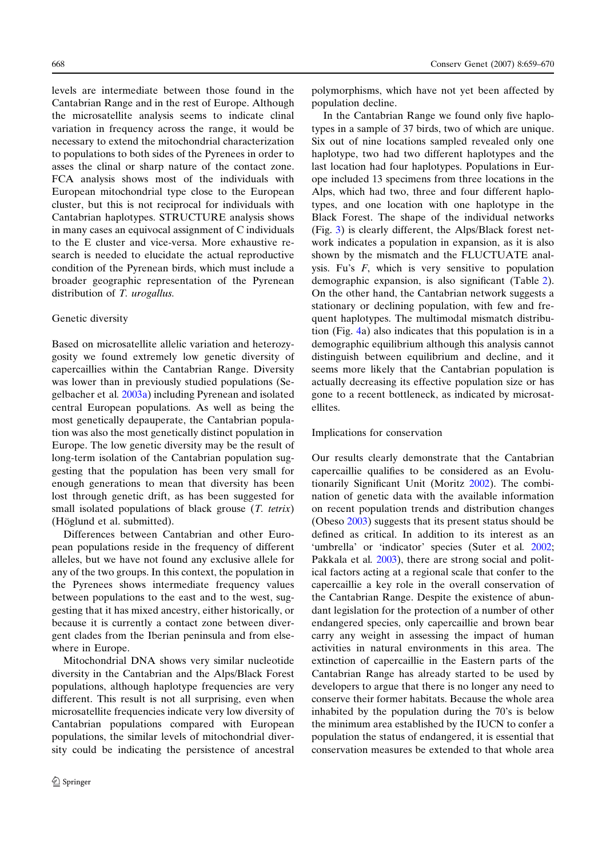levels are intermediate between those found in the Cantabrian Range and in the rest of Europe. Although the microsatellite analysis seems to indicate clinal variation in frequency across the range, it would be necessary to extend the mitochondrial characterization to populations to both sides of the Pyrenees in order to asses the clinal or sharp nature of the contact zone. FCA analysis shows most of the individuals with European mitochondrial type close to the European cluster, but this is not reciprocal for individuals with Cantabrian haplotypes. STRUCTURE analysis shows in many cases an equivocal assignment of C individuals to the E cluster and vice-versa. More exhaustive research is needed to elucidate the actual reproductive condition of the Pyrenean birds, which must include a broader geographic representation of the Pyrenean distribution of T. *urogallus*.

# Genetic diversity

Based on microsatellite allelic variation and heterozygosity we found extremely low genetic diversity of capercaillies within the Cantabrian Range. Diversity was lower than in previously studied populations (Segelbacher et al. 2003a) including Pyrenean and isolated central European populations. As well as being the most genetically depauperate, the Cantabrian population was also the most genetically distinct population in Europe. The low genetic diversity may be the result of long-term isolation of the Cantabrian population suggesting that the population has been very small for enough generations to mean that diversity has been lost through genetic drift, as has been suggested for small isolated populations of black grouse  $(T. \text{tetrix})$ (Höglund et al. submitted).

Differences between Cantabrian and other European populations reside in the frequency of different alleles, but we have not found any exclusive allele for any of the two groups. In this context, the population in the Pyrenees shows intermediate frequency values between populations to the east and to the west, suggesting that it has mixed ancestry, either historically, or because it is currently a contact zone between divergent clades from the Iberian peninsula and from elsewhere in Europe.

Mitochondrial DNA shows very similar nucleotide diversity in the Cantabrian and the Alps/Black Forest populations, although haplotype frequencies are very different. This result is not all surprising, even when microsatellite frequencies indicate very low diversity of Cantabrian populations compared with European populations, the similar levels of mitochondrial diversity could be indicating the persistence of ancestral polymorphisms, which have not yet been affected by population decline.

In the Cantabrian Range we found only five haplotypes in a sample of 37 birds, two of which are unique. Six out of nine locations sampled revealed only one haplotype, two had two different haplotypes and the last location had four haplotypes. Populations in Europe included 13 specimens from three locations in the Alps, which had two, three and four different haplotypes, and one location with one haplotype in the Black Forest. The shape of the individual networks (Fig. 3) is clearly different, the Alps/Black forest network indicates a population in expansion, as it is also shown by the mismatch and the FLUCTUATE analysis. Fu's  $F$ , which is very sensitive to population demographic expansion, is also significant (Table 2). On the other hand, the Cantabrian network suggests a stationary or declining population, with few and frequent haplotypes. The multimodal mismatch distribution (Fig. 4a) also indicates that this population is in a demographic equilibrium although this analysis cannot distinguish between equilibrium and decline, and it seems more likely that the Cantabrian population is actually decreasing its effective population size or has gone to a recent bottleneck, as indicated by microsatellites.

#### Implications for conservation

Our results clearly demonstrate that the Cantabrian capercaillie qualifies to be considered as an Evolutionarily Significant Unit (Moritz 2002). The combination of genetic data with the available information on recent population trends and distribution changes (Obeso 2003) suggests that its present status should be defined as critical. In addition to its interest as an 'umbrella' or 'indicator' species (Suter et al. 2002; Pakkala et al. 2003), there are strong social and political factors acting at a regional scale that confer to the capercaillie a key role in the overall conservation of the Cantabrian Range. Despite the existence of abundant legislation for the protection of a number of other endangered species, only capercaillie and brown bear carry any weight in assessing the impact of human activities in natural environments in this area. The extinction of capercaillie in the Eastern parts of the Cantabrian Range has already started to be used by developers to argue that there is no longer any need to conserve their former habitats. Because the whole area inhabited by the population during the 70's is below the minimum area established by the IUCN to confer a population the status of endangered, it is essential that conservation measures be extended to that whole area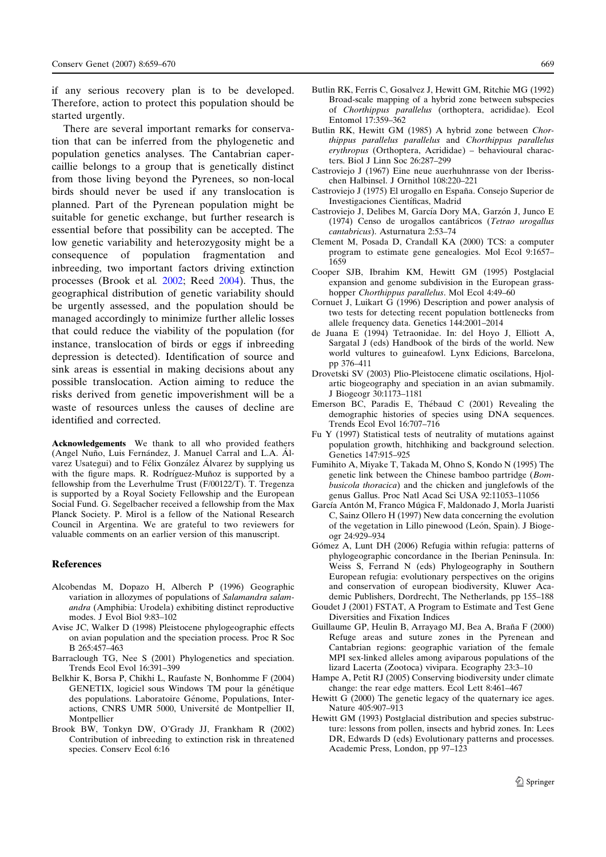if any serious recovery plan is to be developed. Therefore, action to protect this population should be started urgently.

There are several important remarks for conservation that can be inferred from the phylogenetic and population genetics analyses. The Cantabrian capercaillie belongs to a group that is genetically distinct from those living beyond the Pyrenees, so non-local birds should never be used if any translocation is planned. Part of the Pyrenean population might be suitable for genetic exchange, but further research is essential before that possibility can be accepted. The low genetic variability and heterozygosity might be a consequence of population fragmentation and inbreeding, two important factors driving extinction processes (Brook et al. 2002; Reed 2004). Thus, the geographical distribution of genetic variability should be urgently assessed, and the population should be managed accordingly to minimize further allelic losses that could reduce the viability of the population (for instance, translocation of birds or eggs if inbreeding depression is detected). Identification of source and sink areas is essential in making decisions about any possible translocation. Action aiming to reduce the risks derived from genetic impoverishment will be a waste of resources unless the causes of decline are identified and corrected.

Acknowledgements We thank to all who provided feathers (Angel Nuño, Luis Fernández, J. Manuel Carral and L.A. Álvarez Usategui) and to Félix González Álvarez by supplying us with the figure maps. R. Rodríguez-Muñoz is supported by a fellowship from the Leverhulme Trust (F/00122/T). T. Tregenza is supported by a Royal Society Fellowship and the European Social Fund. G. Segelbacher received a fellowship from the Max Planck Society. P. Mirol is a fellow of the National Research Council in Argentina. We are grateful to two reviewers for valuable comments on an earlier version of this manuscript.

### References

- Alcobendas M, Dopazo H, Alberch P (1996) Geographic variation in allozymes of populations of Salamandra salamandra (Amphibia: Urodela) exhibiting distinct reproductive modes. J Evol Biol 9:83–102
- Avise JC, Walker D (1998) Pleistocene phylogeographic effects on avian population and the speciation process. Proc R Soc B 265:457–463
- Barraclough TG, Nee S (2001) Phylogenetics and speciation. Trends Ecol Evol 16:391–399
- Belkhir K, Borsa P, Chikhi L, Raufaste N, Bonhomme F (2004) GENETIX, logiciel sous Windows TM pour la génétique des populations. Laboratoire Génome, Populations, Interactions, CNRS UMR 5000, Université de Montpellier II, Montpellier
- Brook BW, Tonkyn DW, O'Grady JJ, Frankham R (2002) Contribution of inbreeding to extinction risk in threatened species. Conserv Ecol 6:16
- Butlin RK, Ferris C, Gosalvez J, Hewitt GM, Ritchie MG (1992) Broad-scale mapping of a hybrid zone between subspecies of Chorthippus parallelus (orthoptera, acrididae). Ecol Entomol 17:359–362
- Butlin RK, Hewitt GM (1985) A hybrid zone between Chorthippus parallelus parallelus and Chorthippus parallelus erythropus (Orthoptera, Acrididae) – behavioural characters. Biol J Linn Soc 26:287–299
- Castroviejo J (1967) Eine neue auerhuhnrasse von der Iberisschen Halbinsel. J Ornithol 108:220–221
- Castroviejo J (1975) El urogallo en España. Consejo Superior de Investigaciones Científicas, Madrid
- Castroviejo J, Delibes M, García Dory MA, Garzón J, Junco E (1974) Censo de urogallos cantábricos (Tetrao urogallus cantabricus). Asturnatura 2:53–74
- Clement M, Posada D, Crandall KA (2000) TCS: a computer program to estimate gene genealogies. Mol Ecol 9:1657– 1659
- Cooper SJB, Ibrahim KM, Hewitt GM (1995) Postglacial expansion and genome subdivision in the European grasshopper Chorthippus parallelus. Mol Ecol 4:49–60
- Cornuet J, Luikart G (1996) Description and power analysis of two tests for detecting recent population bottlenecks from allele frequency data. Genetics 144:2001–2014
- de Juana E (1994) Tetraonidae. In: del Hoyo J, Elliott A, Sargatal J (eds) Handbook of the birds of the world. New world vultures to guineafowl. Lynx Edicions, Barcelona, pp 376–411
- Drovetski SV (2003) Plio-Pleistocene climatic oscilations, Hjolartic biogeography and speciation in an avian submamily. J Biogeogr 30:1173–1181
- Emerson BC, Paradis E, Thébaud C (2001) Revealing the demographic histories of species using DNA sequences. Trends Ecol Evol 16:707–716
- Fu Y (1997) Statistical tests of neutrality of mutations against population growth, hitchhiking and background selection. Genetics 147:915–925
- Fumihito A, Miyake T, Takada M, Ohno S, Kondo N (1995) The genetic link between the Chinese bamboo partridge (Bombusicola thoracica) and the chicken and junglefowls of the genus Gallus. Proc Natl Acad Sci USA 92:11053–11056
- García Antón M, Franco Múgica F, Maldonado J, Morla Juaristi C, Sainz Ollero H (1997) New data concerning the evolution of the vegetation in Lillo pinewood (León, Spain). J Biogeogr 24:929–934
- Gómez A, Lunt DH (2006) Refugia within refugia: patterns of phylogeographic concordance in the Iberian Peninsula. In: Weiss S, Ferrand N (eds) Phylogeography in Southern European refugia: evolutionary perspectives on the origins and conservation of european biodiversity, Kluwer Academic Publishers, Dordrecht, The Netherlands, pp 155–188
- Goudet J (2001) FSTAT, A Program to Estimate and Test Gene Diversities and Fixation Indices
- Guillaume GP, Heulin B, Arrayago MJ, Bea A, Braña F (2000) Refuge areas and suture zones in the Pyrenean and Cantabrian regions: geographic variation of the female MPI sex-linked alleles among aviparous populations of the lizard Lacerta (Zootoca) vivipara. Ecography 23:3–10
- Hampe A, Petit RJ (2005) Conserving biodiversity under climate change: the rear edge matters. Ecol Lett 8:461–467
- Hewitt G (2000) The genetic legacy of the quaternary ice ages. Nature 405:907–913
- Hewitt GM (1993) Postglacial distribution and species substructure: lessons from pollen, insects and hybrid zones. In: Lees DR, Edwards D (eds) Evolutionary patterns and processes. Academic Press, London, pp 97–123